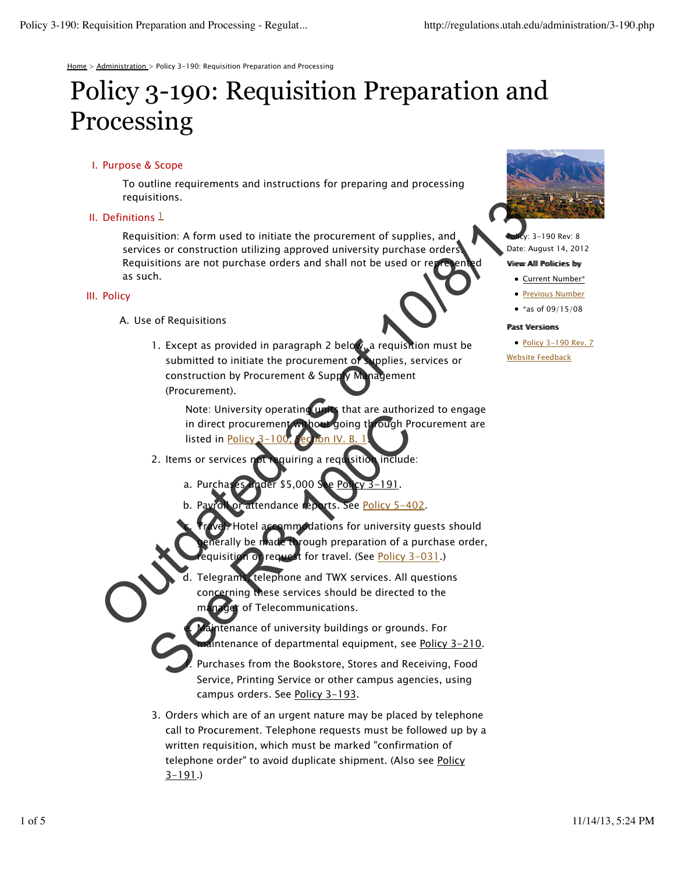Home > Administration > Policy 3-190: Requisition Preparation and Processing

# Policy 3-190: Requisition Preparation and Processing

# I. Purpose & Scope

To outline requirements and instructions for preparing and processing requisitions.

# II. Definitions  $1$

Requisition: A form used to initiate the procurement of supplies, and services or construction utilizing approved university purchase orders! Requisitions are not purchase orders and shall not be used or rep as such.

## III. Policy

A. Use of Requisitions

e.

f.

1. Except as provided in paragraph 2 below, a requisition must be submitted to initiate the procurement of supplies, services or construction by Procurement & Supply Management (Procurement). Perfinitions are approved university purchases of the twice is of the twice and state as the Requisitions are not purchase orders and shall not be used or regressed as such.<br>
Policy<br>
A. Use of Requisitions<br>
1. Except as pr

Note: University operating units that are authorized to engage in direct procurement without going through Procurement are listed in Policy 3-100, Section IV

- quiring a requisition include: 2. Items or services not
	- a. Purchases under \$5,000 See Policy 3-191.
	- ttendance reports. See Policy 5-402.
- otel accommodations for university guests should rough preparation of a purchase order, 1 or request for travel. (See Policy 3-031.) c. Note. University operating the dial are author<br>in direct procurement to hour going through Pr<br>listed in <u>Policy 3–100, ee Roh IV. B. 1</u><br>2. Items or services not requiring a requisition include<br>a. Purchases noder \$5,000 See
	- Telegrams, telephone and TWX services. All questions cerning these services should be directed to the er of Telecommunications. d.

intenance of university buildings or grounds. For intenance of departmental equipment, see Policy 3-210.

Purchases from the Bookstore, Stores and Receiving, Food Service, Printing Service or other campus agencies, using campus orders. See Policy 3-193.

3. Orders which are of an urgent nature may be placed by telephone call to Procurement. Telephone requests must be followed up by a written requisition, which must be marked "confirmation of telephone order" to avoid duplicate shipment. (Also see Policy  $3 - 191.$ 



,<br>v: 3–190 Rev: 8 Date: August 14, 2012

#### Viiew Alll Polliciies by

• Current Number\*

**• Previous Number** 

• \*as of  $09/15/08$ 

#### Pastt Versiioms

• Policy 3-190 Rev. 7 Website Feedback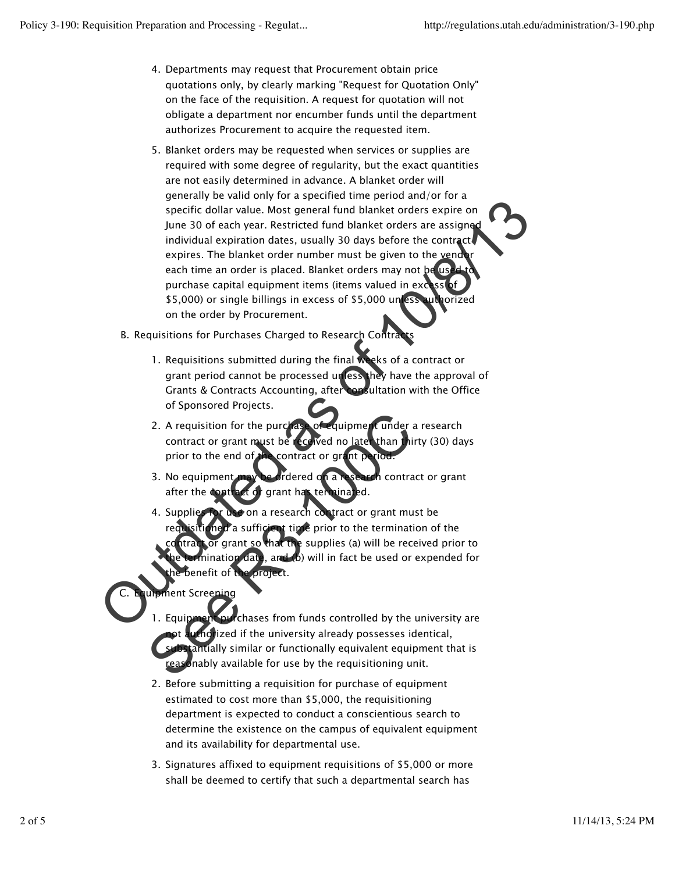- Departments may request that Procurement obtain price 4. quotations only, by clearly marking "Request for Quotation Only" on the face of the requisition. A request for quotation will not obligate a department nor encumber funds until the department authorizes Procurement to acquire the requested item.
- Blanket orders may be requested when services or supplies are 5. required with some degree of regularity, but the exact quantities are not easily determined in advance. A blanket order will generally be valid only for a specified time period and/or for a specific dollar value. Most general fund blanket orders expire on June 30 of each year. Restricted fund blanket orders are assigned individual expiration dates, usually 30 days before the contract expires. The blanket order number must be given to the vend each time an order is placed. Blanket orders may not be us. purchase capital equipment items (items valued in excess \$5,000) or single billings in excess of \$5,000 unless authorized on the order by Procurement. Specific dollar value. Most general fund blanket orders expire on<br>the 30 of each year. Restricted fund blanket orders expire on<br>the 30 of each year. Restricted fund blanket orders are assigned<br>individual expiration dates,
	- B. Requisitions for Purchases Charged to Research Contracts
		- 1. Requisitions submitted during the final weeks of a contract or grant period cannot be processed unless they have the approval of Grants & Contracts Accounting, after consultation with the Office of Sponsored Projects.
		- 2. A requisition for the purchase of equipment under a research contract or grant must be received no later than thirty (30) days prior to the end of the contract or grant p
		- dered on a research contract or grant after the contract of grant has ter 3. No equipment
		- $\bullet$  on a research contract or grant must be ent time prior to the termination of the **e** supplies (a) will be received prior to date, and (b) will in fact be used or expended for roject. 4. Supplie The purchase of equipment and the project.<br>
		See Requisition for the purchase of equipment under a contract or grant must be received no late than this<br>
		prior to the end of the contract or grant prior to the end of the cont

nent Scree C.

- chases from funds controlled by the university are horized if the university already possesses identical, tantially similar or functionally equivalent equipment that is reasonably available for use by the requisitioning unit. 1. Equipmen
- 2. Before submitting a requisition for purchase of equipment estimated to cost more than \$5,000, the requisitioning department is expected to conduct a conscientious search to determine the existence on the campus of equivalent equipment and its availability for departmental use.
- Signatures affixed to equipment requisitions of \$5,000 or more 3. shall be deemed to certify that such a departmental search has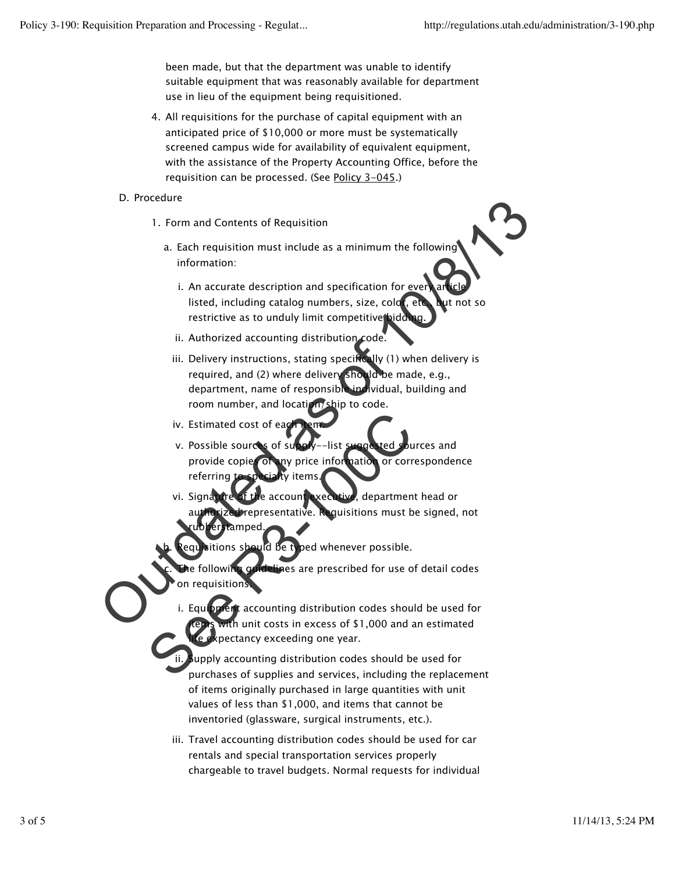been made, but that the department was unable to identify suitable equipment that was reasonably available for department use in lieu of the equipment being requisitioned.

All requisitions for the purchase of capital equipment with an 4. anticipated price of \$10,000 or more must be systematically screened campus wide for availability of equivalent equipment, with the assistance of the Property Accounting Office, before the requisition can be processed. (See Policy 3-045.)

## D. Procedure

- 1. Form and Contents of Requisition
	- a. Each requisition must include as a minimum the following information:
		- i. An accurate description and specification for <u>e</u>ver**y** article listed, including catalog numbers, size, color, etc., but not so restrictive as to unduly limit competitive biddi
		- ii. Authorized accounting distribution code.
- iii. Delivery instructions, stating specifically (1) when delivery is required, and (2) where delivery should be made, e.g., department, name of responsible individual, building and room number, and location/ship to code. D. Frocedure<br>
1. Form and Contents of Requisition<br>
a. Each requisition must include as a minimum the following<br>
information:<br>
i. An accurate description and specification for every are<br>
interactive as to unduly imit compet
	- iv. Estimated cost of ea
	- v. Possible sources of supply––list suggested sources and provide copies of any price information or correspondence referring
	- Signature of the account executive, department head or representative. Requisitions must be signed, not rubberstamped. vi.
	- itions should be typed whenever possible.

**Telin**es are prescribed for use of detail codes on requisitions. c.

Equipment accounting distribution codes should be used for th unit costs in excess of  $$1,000$  and an estimated pectancy exceeding one year. i. IV. Estimated cost of each person and provide copie of any price information or correferring to exclude the account we can be apartment and prize the account we can be apartment and prize the account we can be apartment an

Supply accounting distribution codes should be used for purchases of supplies and services, including the replacement of items originally purchased in large quantities with unit values of less than \$1,000, and items that cannot be inventoried (glassware, surgical instruments, etc.). ii.

iii. Travel accounting distribution codes should be used for car rentals and special transportation services properly chargeable to travel budgets. Normal requests for individual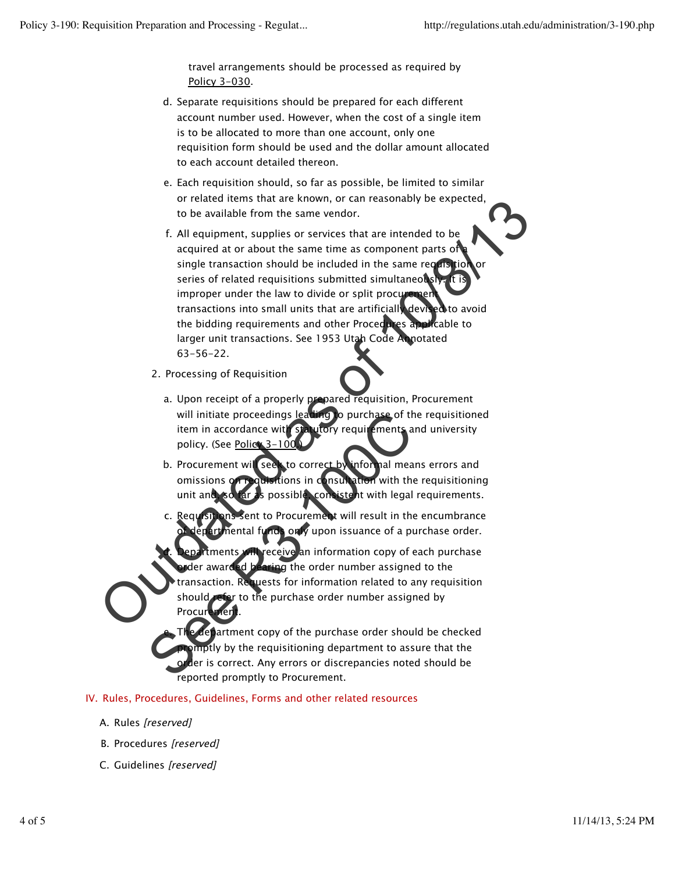travel arrangements should be processed as required by Policy 3-030.

- d. Separate requisitions should be prepared for each different account number used. However, when the cost of a single item is to be allocated to more than one account, only one requisition form should be used and the dollar amount allocated to each account detailed thereon.
- e. Each requisition should, so far as possible, be limited to similar or related items that are known, or can reasonably be expected, to be available from the same vendor.
- f. All equipment, supplies or services that are intended to be acquired at or about the same time as component parts of single transaction should be included in the same requisition or series of related requisitions submitted simultaneously improper under the law to divide or split procur transactions into small units that are artificially devised to avoid the bidding requirements and other Procedures applicable to larger unit transactions. See 1953 Utah Code Annotated 63-56-22. The there are the model of the model of the model of the model of the purchase of the purchase of the purchase of the purchase of the purchase of the purchase of the purchase of the purchase of the purchase of the purchase
	- 2. Processing of Requisition
		- a. Upon receipt of a properly prepared requisition, Procurement will initiate proceedings leading to purchase of the requisitioned item in accordance with statutory requirements and university policy. (See Policy 3-100
		- seek to correct by informal means errors and omissions on requisitions in consultation with the requisitioning unit and, so far as possible, consistent with legal requirements. b. Procurement wil
		- ent to Procurement will result in the encumbrance only upon issuance of a purchase order. c. Requ
	- receive an information copy of each purchase ng the order number assigned to the transaction. Requests for information related to any requisition fer to the purchase order number assigned by Procur d. Will initiate proceedings leading to purchase of the term in accordance with strategy to purchase of the policy. (See <u>Police 3–100</u>C) b. Procurement will seek to correct by informal mean omissions of policies to correct b

department copy of the purchase order should be checked pmptly by the requisitioning department to assure that the der is correct. Any errors or discrepancies noted should be reported promptly to Procurement. e.

# IV. Rules, Procedures, Guidelines, Forms and other related resources

- A. Rules [reserved]
- B. Procedures [reserved]
- C. Guidelines [reserved]